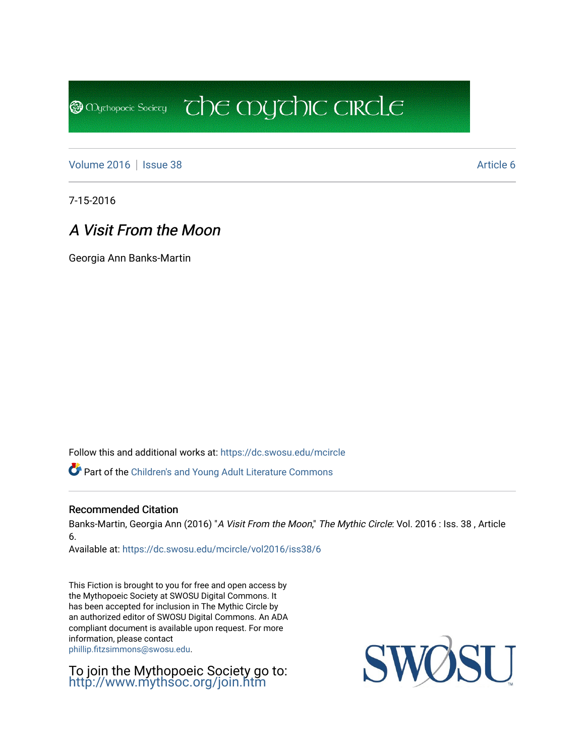[Volume 2016](https://dc.swosu.edu/mcircle/vol2016) | [Issue 38](https://dc.swosu.edu/mcircle/vol2016/iss38) Article 6

**@** Mychopoeic Sociecy

7-15-2016

## A Visit From the Moon

Georgia Ann Banks-Martin

Follow this and additional works at: [https://dc.swosu.edu/mcircle](https://dc.swosu.edu/mcircle?utm_source=dc.swosu.edu%2Fmcircle%2Fvol2016%2Fiss38%2F6&utm_medium=PDF&utm_campaign=PDFCoverPages) 

Part of the [Children's and Young Adult Literature Commons](http://network.bepress.com/hgg/discipline/1289?utm_source=dc.swosu.edu%2Fmcircle%2Fvol2016%2Fiss38%2F6&utm_medium=PDF&utm_campaign=PDFCoverPages) 

### Recommended Citation

Banks-Martin, Georgia Ann (2016) "A Visit From the Moon," The Mythic Circle: Vol. 2016 : Iss. 38, Article 6.

 $\overline{c}$  the mychic circle

Available at: [https://dc.swosu.edu/mcircle/vol2016/iss38/6](https://dc.swosu.edu/mcircle/vol2016/iss38/6?utm_source=dc.swosu.edu%2Fmcircle%2Fvol2016%2Fiss38%2F6&utm_medium=PDF&utm_campaign=PDFCoverPages)

This Fiction is brought to you for free and open access by the Mythopoeic Society at SWOSU Digital Commons. It has been accepted for inclusion in The Mythic Circle by an authorized editor of SWOSU Digital Commons. An ADA compliant document is available upon request. For more information, please contact [phillip.fitzsimmons@swosu.edu](mailto:phillip.fitzsimmons@swosu.edu).

To join the Mythopoeic Society go to: <http://www.mythsoc.org/join.htm>

SWOSU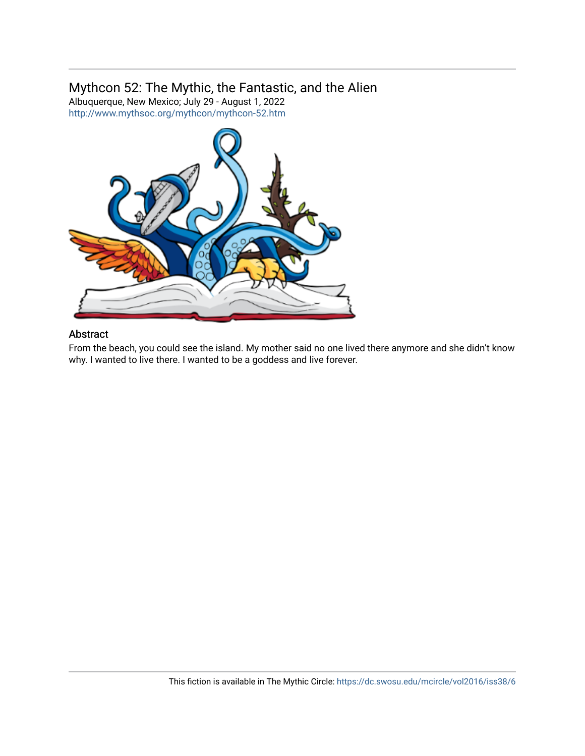## Mythcon 52: The Mythic, the Fantastic, and the Alien

Albuquerque, New Mexico; July 29 - August 1, 2022 <http://www.mythsoc.org/mythcon/mythcon-52.htm>



## Abstract

From the beach, you could see the island. My mother said no one lived there anymore and she didn't know why. I wanted to live there. I wanted to be a goddess and live forever.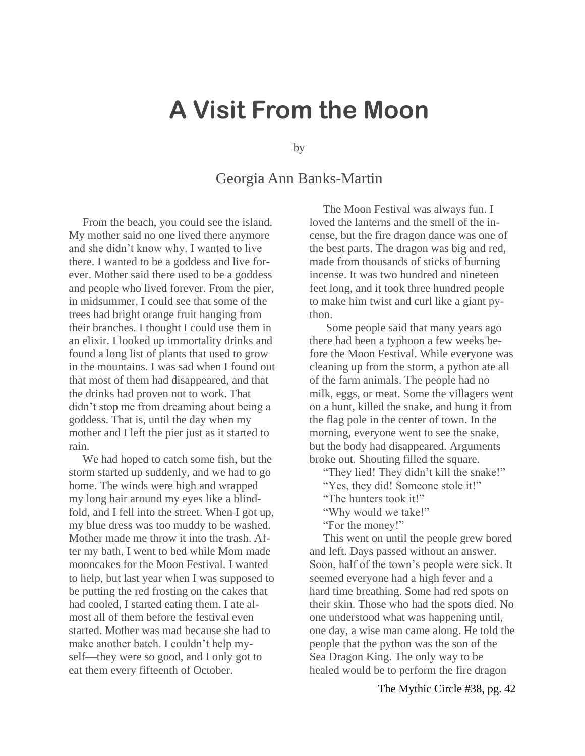# **A Visit From the Moon**

by

## Georgia Ann Banks-Martin

From the beach, you could see the island. My mother said no one lived there anymore and she didn't know why. I wanted to live there. I wanted to be a goddess and live forever. Mother said there used to be a goddess and people who lived forever. From the pier, in midsummer, I could see that some of the trees had bright orange fruit hanging from their branches. I thought I could use them in an elixir. I looked up immortality drinks and found a long list of plants that used to grow in the mountains. I was sad when I found out that most of them had disappeared, and that the drinks had proven not to work. That didn't stop me from dreaming about being a goddess. That is, until the day when my mother and I left the pier just as it started to rain.

We had hoped to catch some fish, but the storm started up suddenly, and we had to go home. The winds were high and wrapped my long hair around my eyes like a blindfold, and I fell into the street. When I got up, my blue dress was too muddy to be washed. Mother made me throw it into the trash. After my bath, I went to bed while Mom made mooncakes for the Moon Festival. I wanted to help, but last year when I was supposed to be putting the red frosting on the cakes that had cooled, I started eating them. I ate almost all of them before the festival even started. Mother was mad because she had to make another batch. I couldn't help myself—they were so good, and I only got to eat them every fifteenth of October.

The Moon Festival was always fun. I loved the lanterns and the smell of the incense, but the fire dragon dance was one of the best parts. The dragon was big and red, made from thousands of sticks of burning incense. It was two hundred and nineteen feet long, and it took three hundred people to make him twist and curl like a giant python.

Some people said that many years ago there had been a typhoon a few weeks before the Moon Festival. While everyone was cleaning up from the storm, a python ate all of the farm animals. The people had no milk, eggs, or meat. Some the villagers went on a hunt, killed the snake, and hung it from the flag pole in the center of town. In the morning, everyone went to see the snake, but the body had disappeared. Arguments broke out. Shouting filled the square.

"They lied! They didn't kill the snake!"

"Yes, they did! Someone stole it!"

"The hunters took it!"

"Why would we take!"

"For the money!"

This went on until the people grew bored and left. Days passed without an answer. Soon, half of the town's people were sick. It seemed everyone had a high fever and a hard time breathing. Some had red spots on their skin. Those who had the spots died. No one understood what was happening until, one day, a wise man came along. He told the people that the python was the son of the Sea Dragon King. The only way to be healed would be to perform the fire dragon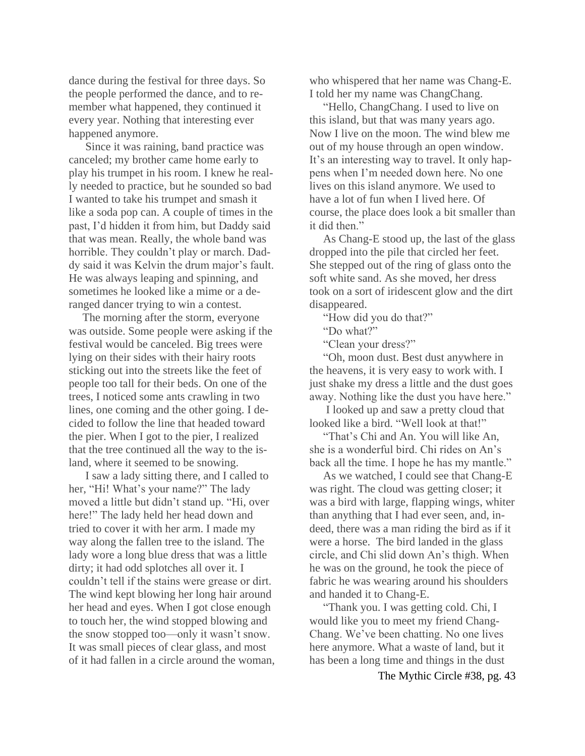dance during the festival for three days. So the people performed the dance, and to remember what happened, they continued it every year. Nothing that interesting ever happened anymore.

Since it was raining, band practice was canceled; my brother came home early to play his trumpet in his room. I knew he really needed to practice, but he sounded so bad I wanted to take his trumpet and smash it like a soda pop can. A couple of times in the past, I'd hidden it from him, but Daddy said that was mean. Really, the whole band was horrible. They couldn't play or march. Daddy said it was Kelvin the drum major's fault. He was always leaping and spinning, and sometimes he looked like a mime or a deranged dancer trying to win a contest.

The morning after the storm, everyone was outside. Some people were asking if the festival would be canceled. Big trees were lying on their sides with their hairy roots sticking out into the streets like the feet of people too tall for their beds. On one of the trees, I noticed some ants crawling in two lines, one coming and the other going. I decided to follow the line that headed toward the pier. When I got to the pier, I realized that the tree continued all the way to the island, where it seemed to be snowing.

I saw a lady sitting there, and I called to her, "Hi! What's your name?" The lady moved a little but didn't stand up. "Hi, over here!" The lady held her head down and tried to cover it with her arm. I made my way along the fallen tree to the island. The lady wore a long blue dress that was a little dirty; it had odd splotches all over it. I couldn't tell if the stains were grease or dirt. The wind kept blowing her long hair around her head and eyes. When I got close enough to touch her, the wind stopped blowing and the snow stopped too—only it wasn't snow. It was small pieces of clear glass, and most of it had fallen in a circle around the woman, who whispered that her name was Chang-E. I told her my name was ChangChang.

"Hello, ChangChang. I used to live on this island, but that was many years ago. Now I live on the moon. The wind blew me out of my house through an open window. It's an interesting way to travel. It only happens when I'm needed down here. No one lives on this island anymore. We used to have a lot of fun when I lived here. Of course, the place does look a bit smaller than it did then."

As Chang-E stood up, the last of the glass dropped into the pile that circled her feet. She stepped out of the ring of glass onto the soft white sand. As she moved, her dress took on a sort of iridescent glow and the dirt disappeared.

"How did you do that?"

"Do what?"

"Clean your dress?"

"Oh, moon dust. Best dust anywhere in the heavens, it is very easy to work with. I just shake my dress a little and the dust goes away. Nothing like the dust you have here."

I looked up and saw a pretty cloud that looked like a bird. "Well look at that!"

"That's Chi and An. You will like An, she is a wonderful bird. Chi rides on An's back all the time. I hope he has my mantle."

As we watched, I could see that Chang-E was right. The cloud was getting closer; it was a bird with large, flapping wings, whiter than anything that I had ever seen, and, indeed, there was a man riding the bird as if it were a horse. The bird landed in the glass circle, and Chi slid down An's thigh. When he was on the ground, he took the piece of fabric he was wearing around his shoulders and handed it to Chang-E.

"Thank you. I was getting cold. Chi, I would like you to meet my friend Chang-Chang. We've been chatting. No one lives here anymore. What a waste of land, but it has been a long time and things in the dust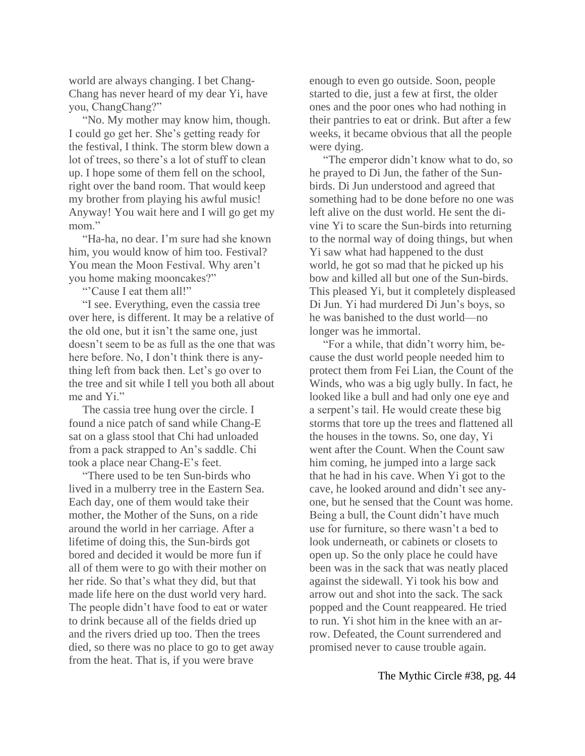world are always changing. I bet Chang-Chang has never heard of my dear Yi, have you, ChangChang?"

"No. My mother may know him, though. I could go get her. She's getting ready for the festival, I think. The storm blew down a lot of trees, so there's a lot of stuff to clean up. I hope some of them fell on the school, right over the band room. That would keep my brother from playing his awful music! Anyway! You wait here and I will go get my mom"

"Ha-ha, no dear. I'm sure had she known him, you would know of him too. Festival? You mean the Moon Festival. Why aren't you home making mooncakes?"

"'Cause I eat them all!"

"I see. Everything, even the cassia tree over here, is different. It may be a relative of the old one, but it isn't the same one, just doesn't seem to be as full as the one that was here before. No, I don't think there is anything left from back then. Let's go over to the tree and sit while I tell you both all about me and Yi."

The cassia tree hung over the circle. I found a nice patch of sand while Chang-E sat on a glass stool that Chi had unloaded from a pack strapped to An's saddle. Chi took a place near Chang-E's feet.

"There used to be ten Sun-birds who lived in a mulberry tree in the Eastern Sea. Each day, one of them would take their mother, the Mother of the Suns, on a ride around the world in her carriage. After a lifetime of doing this, the Sun-birds got bored and decided it would be more fun if all of them were to go with their mother on her ride. So that's what they did, but that made life here on the dust world very hard. The people didn't have food to eat or water to drink because all of the fields dried up and the rivers dried up too. Then the trees died, so there was no place to go to get away from the heat. That is, if you were brave

enough to even go outside. Soon, people started to die, just a few at first, the older ones and the poor ones who had nothing in their pantries to eat or drink. But after a few weeks, it became obvious that all the people were dying.

"The emperor didn't know what to do, so he prayed to Di Jun, the father of the Sunbirds. Di Jun understood and agreed that something had to be done before no one was left alive on the dust world. He sent the divine Yi to scare the Sun-birds into returning to the normal way of doing things, but when Yi saw what had happened to the dust world, he got so mad that he picked up his bow and killed all but one of the Sun-birds. This pleased Yi, but it completely displeased Di Jun. Yi had murdered Di Jun's boys, so he was banished to the dust world—no longer was he immortal.

"For a while, that didn't worry him, because the dust world people needed him to protect them from Fei Lian, the Count of the Winds, who was a big ugly bully. In fact, he looked like a bull and had only one eye and a serpent's tail. He would create these big storms that tore up the trees and flattened all the houses in the towns. So, one day, Yi went after the Count. When the Count saw him coming, he jumped into a large sack that he had in his cave. When Yi got to the cave, he looked around and didn't see anyone, but he sensed that the Count was home. Being a bull, the Count didn't have much use for furniture, so there wasn't a bed to look underneath, or cabinets or closets to open up. So the only place he could have been was in the sack that was neatly placed against the sidewall. Yi took his bow and arrow out and shot into the sack. The sack popped and the Count reappeared. He tried to run. Yi shot him in the knee with an arrow. Defeated, the Count surrendered and promised never to cause trouble again.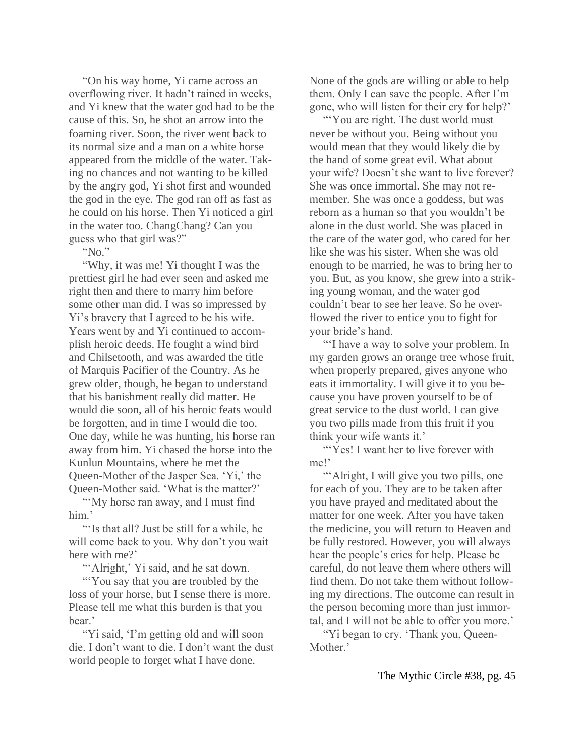"On his way home, Yi came across an overflowing river. It hadn't rained in weeks, and Yi knew that the water god had to be the cause of this. So, he shot an arrow into the foaming river. Soon, the river went back to its normal size and a man on a white horse appeared from the middle of the water. Taking no chances and not wanting to be killed by the angry god, Yi shot first and wounded the god in the eye. The god ran off as fast as he could on his horse. Then Yi noticed a girl in the water too. ChangChang? Can you guess who that girl was?"

"No."

"Why, it was me! Yi thought I was the prettiest girl he had ever seen and asked me right then and there to marry him before some other man did. I was so impressed by Yi's bravery that I agreed to be his wife. Years went by and Yi continued to accomplish heroic deeds. He fought a wind bird and Chilsetooth, and was awarded the title of Marquis Pacifier of the Country. As he grew older, though, he began to understand that his banishment really did matter. He would die soon, all of his heroic feats would be forgotten, and in time I would die too. One day, while he was hunting, his horse ran away from him. Yi chased the horse into the Kunlun Mountains, where he met the Queen-Mother of the Jasper Sea. 'Yi,' the Queen-Mother said. 'What is the matter?'

""My horse ran away, and I must find" him.'

"'Is that all? Just be still for a while, he will come back to you. Why don't you wait here with me?'

""Alright,' Yi said, and he sat down.

"'You say that you are troubled by the loss of your horse, but I sense there is more. Please tell me what this burden is that you bear.'

"Yi said, 'I'm getting old and will soon die. I don't want to die. I don't want the dust world people to forget what I have done.

None of the gods are willing or able to help them. Only I can save the people. After I'm gone, who will listen for their cry for help?'

"You are right. The dust world must" never be without you. Being without you would mean that they would likely die by the hand of some great evil. What about your wife? Doesn't she want to live forever? She was once immortal. She may not remember. She was once a goddess, but was reborn as a human so that you wouldn't be alone in the dust world. She was placed in the care of the water god, who cared for her like she was his sister. When she was old enough to be married, he was to bring her to you. But, as you know, she grew into a striking young woman, and the water god couldn't bear to see her leave. So he overflowed the river to entice you to fight for your bride's hand.

"'I have a way to solve your problem. In my garden grows an orange tree whose fruit, when properly prepared, gives anyone who eats it immortality. I will give it to you because you have proven yourself to be of great service to the dust world. I can give you two pills made from this fruit if you think your wife wants it.'

"Yes! I want her to live forever with" me!'

"Alright, I will give you two pills, one for each of you. They are to be taken after you have prayed and meditated about the matter for one week. After you have taken the medicine, you will return to Heaven and be fully restored. However, you will always hear the people's cries for help. Please be careful, do not leave them where others will find them. Do not take them without following my directions. The outcome can result in the person becoming more than just immortal, and I will not be able to offer you more.'

"Yi began to cry. 'Thank you, Queen-Mother.'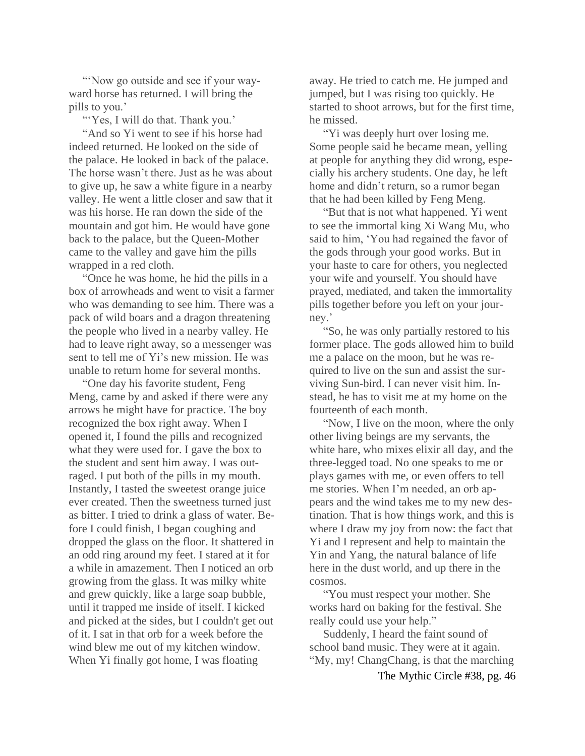"'Now go outside and see if your wayward horse has returned. I will bring the pills to you.'

"Yes, I will do that. Thank you."

"And so Yi went to see if his horse had indeed returned. He looked on the side of the palace. He looked in back of the palace. The horse wasn't there. Just as he was about to give up, he saw a white figure in a nearby valley. He went a little closer and saw that it was his horse. He ran down the side of the mountain and got him. He would have gone back to the palace, but the Queen-Mother came to the valley and gave him the pills wrapped in a red cloth.

"Once he was home, he hid the pills in a box of arrowheads and went to visit a farmer who was demanding to see him. There was a pack of wild boars and a dragon threatening the people who lived in a nearby valley. He had to leave right away, so a messenger was sent to tell me of Yi's new mission. He was unable to return home for several months.

"One day his favorite student, Feng Meng, came by and asked if there were any arrows he might have for practice. The boy recognized the box right away. When I opened it, I found the pills and recognized what they were used for. I gave the box to the student and sent him away. I was outraged. I put both of the pills in my mouth. Instantly, I tasted the sweetest orange juice ever created. Then the sweetness turned just as bitter. I tried to drink a glass of water. Before I could finish, I began coughing and dropped the glass on the floor. It shattered in an odd ring around my feet. I stared at it for a while in amazement. Then I noticed an orb growing from the glass. It was milky white and grew quickly, like a large soap bubble, until it trapped me inside of itself. I kicked and picked at the sides, but I couldn't get out of it. I sat in that orb for a week before the wind blew me out of my kitchen window. When Yi finally got home, I was floating

away. He tried to catch me. He jumped and jumped, but I was rising too quickly. He started to shoot arrows, but for the first time, he missed.

"Yi was deeply hurt over losing me. Some people said he became mean, yelling at people for anything they did wrong, especially his archery students. One day, he left home and didn't return, so a rumor began that he had been killed by Feng Meng.

"But that is not what happened. Yi went to see the immortal king Xi Wang Mu, who said to him, 'You had regained the favor of the gods through your good works. But in your haste to care for others, you neglected your wife and yourself. You should have prayed, mediated, and taken the immortality pills together before you left on your journey.'

"So, he was only partially restored to his former place. The gods allowed him to build me a palace on the moon, but he was required to live on the sun and assist the surviving Sun-bird. I can never visit him. Instead, he has to visit me at my home on the fourteenth of each month.

"Now, I live on the moon, where the only other living beings are my servants, the white hare, who mixes elixir all day, and the three-legged toad. No one speaks to me or plays games with me, or even offers to tell me stories. When I'm needed, an orb appears and the wind takes me to my new destination. That is how things work, and this is where I draw my joy from now: the fact that Yi and I represent and help to maintain the Yin and Yang, the natural balance of life here in the dust world, and up there in the cosmos.

"You must respect your mother. She works hard on baking for the festival. She really could use your help."

Suddenly, I heard the faint sound of school band music. They were at it again. "My, my! ChangChang, is that the marching